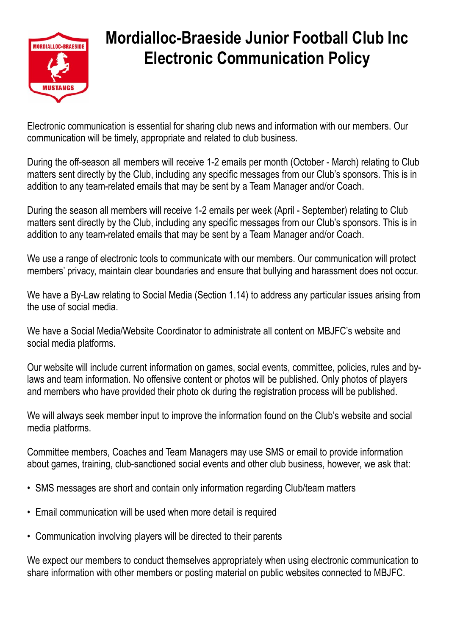

## **Mordialloc-Braeside Junior Football Club Inc Electronic Communication Policy**

Electronic communication is essential for sharing club news and information with our members. Our communication will be timely, appropriate and related to club business.

During the off-season all members will receive 1-2 emails per month (October - March) relating to Club matters sent directly by the Club, including any specific messages from our Club's sponsors. This is in addition to any team-related emails that may be sent by a Team Manager and/or Coach.

During the season all members will receive 1-2 emails per week (April - September) relating to Club matters sent directly by the Club, including any specific messages from our Club's sponsors. This is in addition to any team-related emails that may be sent by a Team Manager and/or Coach.

We use a range of electronic tools to communicate with our members. Our communication will protect members' privacy, maintain clear boundaries and ensure that bullying and harassment does not occur.

We have a By-Law relating to Social Media (Section 1.14) to address any particular issues arising from the use of social media.

We have a Social Media/Website Coordinator to administrate all content on MBJFC's website and social media platforms.

Our website will include current information on games, social events, committee, policies, rules and bylaws and team information. No offensive content or photos will be published. Only photos of players and members who have provided their photo ok during the registration process will be published.

We will always seek member input to improve the information found on the Club's website and social media platforms.

Committee members, Coaches and Team Managers may use SMS or email to provide information about games, training, club-sanctioned social events and other club business, however, we ask that:

- SMS messages are short and contain only information regarding Club/team matters
- Email communication will be used when more detail is required
- Communication involving players will be directed to their parents

We expect our members to conduct themselves appropriately when using electronic communication to share information with other members or posting material on public websites connected to MBJFC.